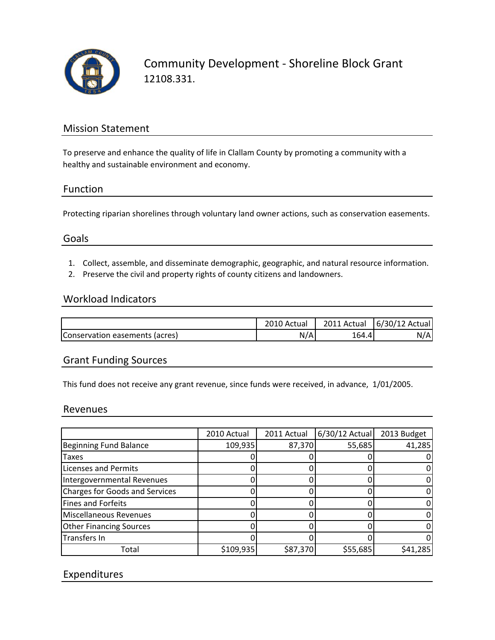

Community Development ‐ Shoreline Block Grant 12108.331.

# Mission Statement

To preserve and enhance the quality of life in Clallam County by promoting a community with a healthy and sustainable environment and economy.

### Function

Protecting riparian shorelines through voluntary land owner actions, such as conservation easements.

### Goals

- 1. Collect, assemble, and disseminate demographic, geographic, and natural resource information.
- 2. Preserve the civil and property rights of county citizens and landowners.

### Workload Indicators

|                                | 2010 Actual |       | 2011 Actual   6/30/12 Actual |
|--------------------------------|-------------|-------|------------------------------|
| Conservation easements (acres) | N/A         | 164.4 | N/A                          |

# Grant Funding Sources

This fund does not receive any grant revenue, since funds were received, in advance, 1/01/2005.

#### Revenues

|                                       | 2010 Actual | 2011 Actual | $6/30/12$ Actual | 2013 Budget |
|---------------------------------------|-------------|-------------|------------------|-------------|
| <b>Beginning Fund Balance</b>         | 109,935     | 87,370      | 55,685           | 41,285      |
| Taxes                                 |             |             |                  | 0           |
| <b>Licenses and Permits</b>           |             |             |                  | 0           |
| Intergovernmental Revenues            |             |             |                  | 0           |
| <b>Charges for Goods and Services</b> |             |             |                  | 0           |
| <b>Fines and Forfeits</b>             |             |             |                  | 0           |
| <b>Miscellaneous Revenues</b>         |             |             |                  | 0           |
| <b>Other Financing Sources</b>        |             |             |                  | 0           |
| Transfers In                          |             |             |                  | 0           |
| Total                                 | \$109,935   | \$87,370    | \$55,685         | \$41,285    |

## Expenditures